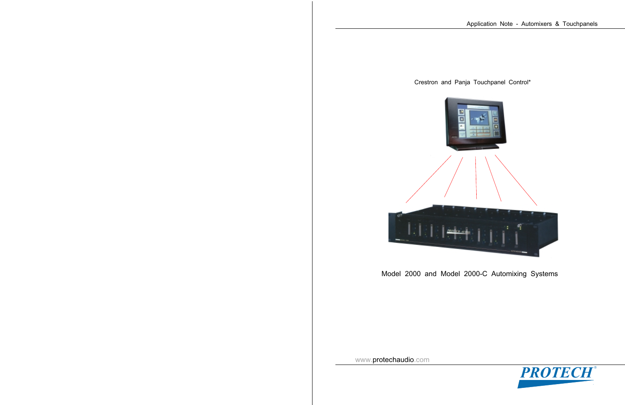



Model 2000 and Model 2000-C Automixing Systems



www.protechaudio.com